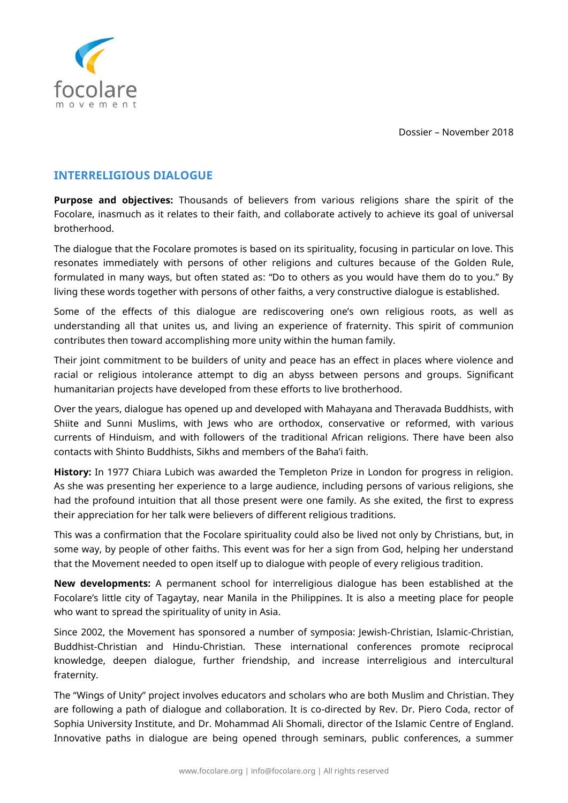Dossier – November 2018



## **INTERRELIGIOUS DIALOGUE**

**Purpose and objectives:** Thousands of believers from various religions share the spirit of the Focolare, inasmuch as it relates to their faith, and collaborate actively to achieve its goal of universal brotherhood.

The dialogue that the Focolare promotes is based on its spirituality, focusing in particular on love. This resonates immediately with persons of other religions and cultures because of the Golden Rule, formulated in many ways, but often stated as: "Do to others as you would have them do to you." By living these words together with persons of other faiths, a very constructive dialogue is established.

Some of the effects of this dialogue are rediscovering one's own religious roots, as well as understanding all that unites us, and living an experience of fraternity. This spirit of communion contributes then toward accomplishing more unity within the human family.

Their joint commitment to be builders of unity and peace has an effect in places where violence and racial or religious intolerance attempt to dig an abyss between persons and groups. Significant humanitarian projects have developed from these efforts to live brotherhood.

Over the years, dialogue has opened up and developed with Mahayana and Theravada Buddhists, with Shiite and Sunni Muslims, with Jews who are orthodox, conservative or reformed, with various currents of Hinduism, and with followers of the traditional African religions. There have been also contacts with Shinto Buddhists, Sikhs and members of the Baha'i faith.

**History:** In 1977 Chiara Lubich was awarded the Templeton Prize in London for progress in religion. As she was presenting her experience to a large audience, including persons of various religions, she had the profound intuition that all those present were one family. As she exited, the first to express their appreciation for her talk were believers of different religious traditions.

This was a confirmation that the Focolare spirituality could also be lived not only by Christians, but, in some way, by people of other faiths. This event was for her a sign from God, helping her understand that the Movement needed to open itself up to dialogue with people of every religious tradition.

**New developments:** A permanent school for interreligious dialogue has been established at the Focolare's little city of Tagaytay, near Manila in the Philippines. It is also a meeting place for people who want to spread the spirituality of unity in Asia.

Since 2002, the Movement has sponsored a number of symposia: Jewish-Christian, Islamic-Christian, Buddhist-Christian and Hindu-Christian. These international conferences promote reciprocal knowledge, deepen dialogue, further friendship, and increase interreligious and intercultural fraternity.

The "Wings of Unity" project involves educators and scholars who are both Muslim and Christian. They are following a path of dialogue and collaboration. It is co-directed by Rev. Dr. Piero Coda, rector of Sophia University Institute, and Dr. Mohammad Ali Shomali, director of the Islamic Centre of England. Innovative paths in dialogue are being opened through seminars, public conferences, a summer